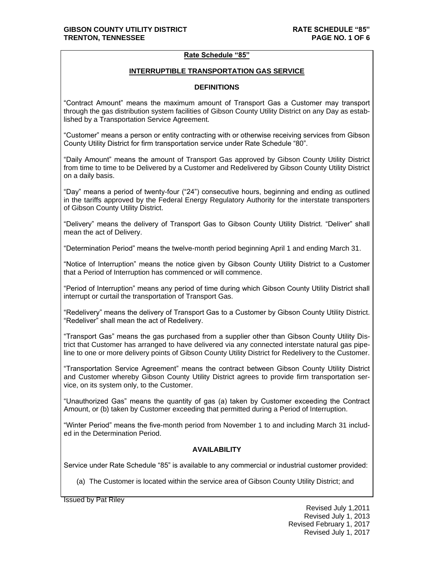#### **Rate Schedule "85"**

#### **INTERRUPTIBLE TRANSPORTATION GAS SERVICE**

#### **DEFINITIONS**

"Contract Amount" means the maximum amount of Transport Gas a Customer may transport through the gas distribution system facilities of Gibson County Utility District on any Day as established by a Transportation Service Agreement.

"Customer" means a person or entity contracting with or otherwise receiving services from Gibson County Utility District for firm transportation service under Rate Schedule "80".

"Daily Amount" means the amount of Transport Gas approved by Gibson County Utility District from time to time to be Delivered by a Customer and Redelivered by Gibson County Utility District on a daily basis.

"Day" means a period of twenty-four ("24") consecutive hours, beginning and ending as outlined in the tariffs approved by the Federal Energy Regulatory Authority for the interstate transporters of Gibson County Utility District.

"Delivery" means the delivery of Transport Gas to Gibson County Utility District. "Deliver" shall mean the act of Delivery.

"Determination Period" means the twelve-month period beginning April 1 and ending March 31.

"Notice of Interruption" means the notice given by Gibson County Utility District to a Customer that a Period of Interruption has commenced or will commence.

"Period of Interruption" means any period of time during which Gibson County Utility District shall interrupt or curtail the transportation of Transport Gas.

"Redelivery" means the delivery of Transport Gas to a Customer by Gibson County Utility District. "Redeliver" shall mean the act of Redelivery.

"Transport Gas" means the gas purchased from a supplier other than Gibson County Utility District that Customer has arranged to have delivered via any connected interstate natural gas pipeline to one or more delivery points of Gibson County Utility District for Redelivery to the Customer.

"Transportation Service Agreement" means the contract between Gibson County Utility District and Customer whereby Gibson County Utility District agrees to provide firm transportation service, on its system only, to the Customer.

"Unauthorized Gas" means the quantity of gas (a) taken by Customer exceeding the Contract Amount, or (b) taken by Customer exceeding that permitted during a Period of Interruption.

"Winter Period" means the five-month period from November 1 to and including March 31 included in the Determination Period.

## **AVAILABILITY**

Service under Rate Schedule "85" is available to any commercial or industrial customer provided:

(a) The Customer is located within the service area of Gibson County Utility District; and

Issued by Pat Riley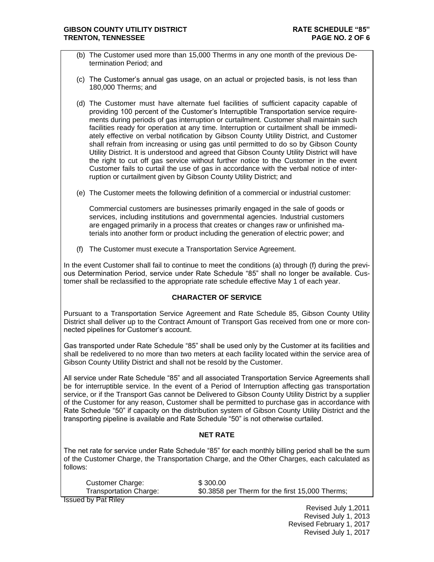- (b) The Customer used more than 15,000 Therms in any one month of the previous Determination Period; and
- (c) The Customer's annual gas usage, on an actual or projected basis, is not less than 180,000 Therms; and
- (d) The Customer must have alternate fuel facilities of sufficient capacity capable of providing 100 percent of the Customer's Interruptible Transportation service requirements during periods of gas interruption or curtailment. Customer shall maintain such facilities ready for operation at any time. Interruption or curtailment shall be immediately effective on verbal notification by Gibson County Utility District, and Customer shall refrain from increasing or using gas until permitted to do so by Gibson County Utility District. It is understood and agreed that Gibson County Utility District will have the right to cut off gas service without further notice to the Customer in the event Customer fails to curtail the use of gas in accordance with the verbal notice of interruption or curtailment given by Gibson County Utility District; and
- (e) The Customer meets the following definition of a commercial or industrial customer:

Commercial customers are businesses primarily engaged in the sale of goods or services, including institutions and governmental agencies. Industrial customers are engaged primarily in a process that creates or changes raw or unfinished materials into another form or product including the generation of electric power; and

(f) The Customer must execute a Transportation Service Agreement.

In the event Customer shall fail to continue to meet the conditions (a) through (f) during the previous Determination Period, service under Rate Schedule "85" shall no longer be available. Customer shall be reclassified to the appropriate rate schedule effective May 1 of each year.

#### **CHARACTER OF SERVICE**

Pursuant to a Transportation Service Agreement and Rate Schedule 85, Gibson County Utility District shall deliver up to the Contract Amount of Transport Gas received from one or more connected pipelines for Customer's account.

Gas transported under Rate Schedule "85" shall be used only by the Customer at its facilities and shall be redelivered to no more than two meters at each facility located within the service area of Gibson County Utility District and shall not be resold by the Customer.

All service under Rate Schedule "85" and all associated Transportation Service Agreements shall be for interruptible service. In the event of a Period of Interruption affecting gas transportation service, or if the Transport Gas cannot be Delivered to Gibson County Utility District by a supplier of the Customer for any reason, Customer shall be permitted to purchase gas in accordance with Rate Schedule "50" if capacity on the distribution system of Gibson County Utility District and the transporting pipeline is available and Rate Schedule "50" is not otherwise curtailed.

## **NET RATE**

The net rate for service under Rate Schedule "85" for each monthly billing period shall be the sum of the Customer Charge, the Transportation Charge, and the Other Charges, each calculated as follows:

| <b>Customer Charge:</b> | \$300.00                                        |
|-------------------------|-------------------------------------------------|
| Transportation Charge:  | \$0.3858 per Therm for the first 15,000 Therms; |
|                         |                                                 |

Issued by Pat Riley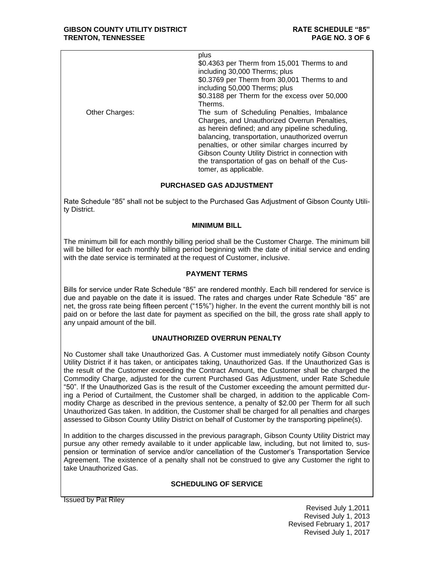|                | plus<br>\$0.4363 per Therm from 15,001 Therms to and<br>including 30,000 Therms; plus<br>\$0.3769 per Therm from 30,001 Therms to and<br>including 50,000 Therms; plus<br>\$0.3188 per Therm for the excess over 50,000<br>Therms.                                                                                                                                                   |
|----------------|--------------------------------------------------------------------------------------------------------------------------------------------------------------------------------------------------------------------------------------------------------------------------------------------------------------------------------------------------------------------------------------|
| Other Charges: | The sum of Scheduling Penalties, Imbalance<br>Charges, and Unauthorized Overrun Penalties,<br>as herein defined; and any pipeline scheduling,<br>balancing, transportation, unauthorized overrun<br>penalties, or other similar charges incurred by<br>Gibson County Utility District in connection with<br>the transportation of gas on behalf of the Cus-<br>tomer, as applicable. |

## **PURCHASED GAS ADJUSTMENT**

Rate Schedule "85" shall not be subject to the Purchased Gas Adjustment of Gibson County Utility District.

#### **MINIMUM BILL**

The minimum bill for each monthly billing period shall be the Customer Charge. The minimum bill will be billed for each monthly billing period beginning with the date of initial service and ending with the date service is terminated at the request of Customer, inclusive.

#### **PAYMENT TERMS**

Bills for service under Rate Schedule "85" are rendered monthly. Each bill rendered for service is due and payable on the date it is issued. The rates and charges under Rate Schedule "85" are net, the gross rate being fifteen percent ("15%") higher. In the event the current monthly bill is not paid on or before the last date for payment as specified on the bill, the gross rate shall apply to any unpaid amount of the bill.

## **UNAUTHORIZED OVERRUN PENALTY**

No Customer shall take Unauthorized Gas. A Customer must immediately notify Gibson County Utility District if it has taken, or anticipates taking, Unauthorized Gas. If the Unauthorized Gas is the result of the Customer exceeding the Contract Amount, the Customer shall be charged the Commodity Charge, adjusted for the current Purchased Gas Adjustment, under Rate Schedule "50". If the Unauthorized Gas is the result of the Customer exceeding the amount permitted during a Period of Curtailment, the Customer shall be charged, in addition to the applicable Commodity Charge as described in the previous sentence, a penalty of \$2.00 per Therm for all such Unauthorized Gas taken. In addition, the Customer shall be charged for all penalties and charges assessed to Gibson County Utility District on behalf of Customer by the transporting pipeline(s).

In addition to the charges discussed in the previous paragraph, Gibson County Utility District may pursue any other remedy available to it under applicable law, including, but not limited to, suspension or termination of service and/or cancellation of the Customer's Transportation Service Agreement. The existence of a penalty shall not be construed to give any Customer the right to take Unauthorized Gas.

## **SCHEDULING OF SERVICE**

Issued by Pat Riley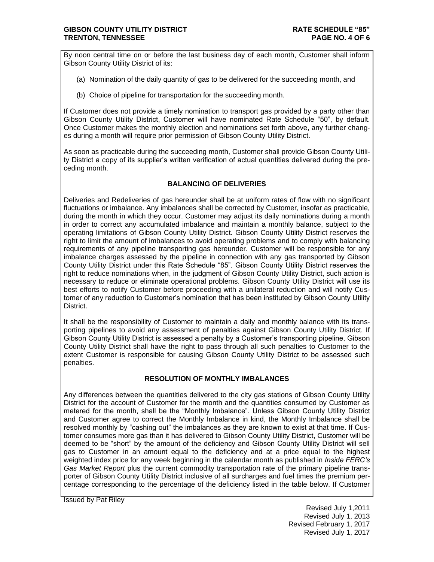By noon central time on or before the last business day of each month, Customer shall inform Gibson County Utility District of its:

- (a) Nomination of the daily quantity of gas to be delivered for the succeeding month, and
- (b) Choice of pipeline for transportation for the succeeding month.

If Customer does not provide a timely nomination to transport gas provided by a party other than Gibson County Utility District, Customer will have nominated Rate Schedule "50", by default. Once Customer makes the monthly election and nominations set forth above, any further changes during a month will require prior permission of Gibson County Utility District.

As soon as practicable during the succeeding month, Customer shall provide Gibson County Utility District a copy of its supplier's written verification of actual quantities delivered during the preceding month.

## **BALANCING OF DELIVERIES**

Deliveries and Redeliveries of gas hereunder shall be at uniform rates of flow with no significant fluctuations or imbalance. Any imbalances shall be corrected by Customer, insofar as practicable, during the month in which they occur. Customer may adjust its daily nominations during a month in order to correct any accumulated imbalance and maintain a monthly balance, subject to the operating limitations of Gibson County Utility District. Gibson County Utility District reserves the right to limit the amount of imbalances to avoid operating problems and to comply with balancing requirements of any pipeline transporting gas hereunder. Customer will be responsible for any imbalance charges assessed by the pipeline in connection with any gas transported by Gibson County Utility District under this Rate Schedule "85". Gibson County Utility District reserves the right to reduce nominations when, in the judgment of Gibson County Utility District, such action is necessary to reduce or eliminate operational problems. Gibson County Utility District will use its best efforts to notify Customer before proceeding with a unilateral reduction and will notify Customer of any reduction to Customer's nomination that has been instituted by Gibson County Utility District.

It shall be the responsibility of Customer to maintain a daily and monthly balance with its transporting pipelines to avoid any assessment of penalties against Gibson County Utility District. If Gibson County Utility District is assessed a penalty by a Customer's transporting pipeline, Gibson County Utility District shall have the right to pass through all such penalties to Customer to the extent Customer is responsible for causing Gibson County Utility District to be assessed such penalties.

# **RESOLUTION OF MONTHLY IMBALANCES**

Any differences between the quantities delivered to the city gas stations of Gibson County Utility District for the account of Customer for the month and the quantities consumed by Customer as metered for the month, shall be the "Monthly Imbalance". Unless Gibson County Utility District and Customer agree to correct the Monthly Imbalance in kind, the Monthly Imbalance shall be resolved monthly by "cashing out" the imbalances as they are known to exist at that time. If Customer consumes more gas than it has delivered to Gibson County Utility District, Customer will be deemed to be "short" by the amount of the deficiency and Gibson County Utility District will sell gas to Customer in an amount equal to the deficiency and at a price equal to the highest weighted index price for any week beginning in the calendar month as published in *Inside FERC's Gas Market Report* plus the current commodity transportation rate of the primary pipeline transporter of Gibson County Utility District inclusive of all surcharges and fuel times the premium percentage corresponding to the percentage of the deficiency listed in the table below. If Customer

Issued by Pat Riley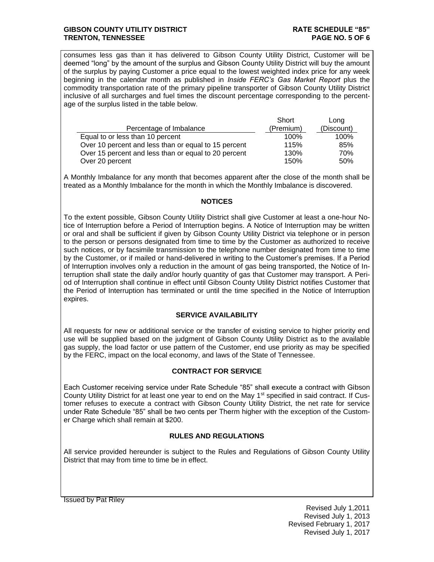#### **GIBSON COUNTY UTILITY DISTRICT RATE SCHEDULE "85" TRENTON, TENNESSEE PAGE NO. 5 OF 6**

consumes less gas than it has delivered to Gibson County Utility District, Customer will be deemed "long" by the amount of the surplus and Gibson County Utility District will buy the amount of the surplus by paying Customer a price equal to the lowest weighted index price for any week beginning in the calendar month as published in *Inside FERC's Gas Market Report* plus the commodity transportation rate of the primary pipeline transporter of Gibson County Utility District inclusive of all surcharges and fuel times the discount percentage corresponding to the percentage of the surplus listed in the table below.

|                                                      | Short     | Long       |
|------------------------------------------------------|-----------|------------|
| Percentage of Imbalance                              | (Premium) | (Discount) |
| Equal to or less than 10 percent                     | 100%      | 100%       |
| Over 10 percent and less than or equal to 15 percent | 115%      | 85%        |
| Over 15 percent and less than or equal to 20 percent | 130%      | 70%        |
| Over 20 percent                                      | 150%      | 50%        |

A Monthly Imbalance for any month that becomes apparent after the close of the month shall be treated as a Monthly Imbalance for the month in which the Monthly Imbalance is discovered.

## **NOTICES**

To the extent possible, Gibson County Utility District shall give Customer at least a one-hour Notice of Interruption before a Period of Interruption begins. A Notice of Interruption may be written or oral and shall be sufficient if given by Gibson County Utility District via telephone or in person to the person or persons designated from time to time by the Customer as authorized to receive such notices, or by facsimile transmission to the telephone number designated from time to time by the Customer, or if mailed or hand-delivered in writing to the Customer's premises. If a Period of Interruption involves only a reduction in the amount of gas being transported, the Notice of Interruption shall state the daily and/or hourly quantity of gas that Customer may transport. A Period of Interruption shall continue in effect until Gibson County Utility District notifies Customer that the Period of Interruption has terminated or until the time specified in the Notice of Interruption expires.

## **SERVICE AVAILABILITY**

All requests for new or additional service or the transfer of existing service to higher priority end use will be supplied based on the judgment of Gibson County Utility District as to the available gas supply, the load factor or use pattern of the Customer, end use priority as may be specified by the FERC, impact on the local economy, and laws of the State of Tennessee.

## **CONTRACT FOR SERVICE**

Each Customer receiving service under Rate Schedule "85" shall execute a contract with Gibson County Utility District for at least one year to end on the May 1<sup>st</sup> specified in said contract. If Customer refuses to execute a contract with Gibson County Utility District, the net rate for service under Rate Schedule "85" shall be two cents per Therm higher with the exception of the Customer Charge which shall remain at \$200.

#### **RULES AND REGULATIONS**

All service provided hereunder is subject to the Rules and Regulations of Gibson County Utility District that may from time to time be in effect.

Issued by Pat Riley